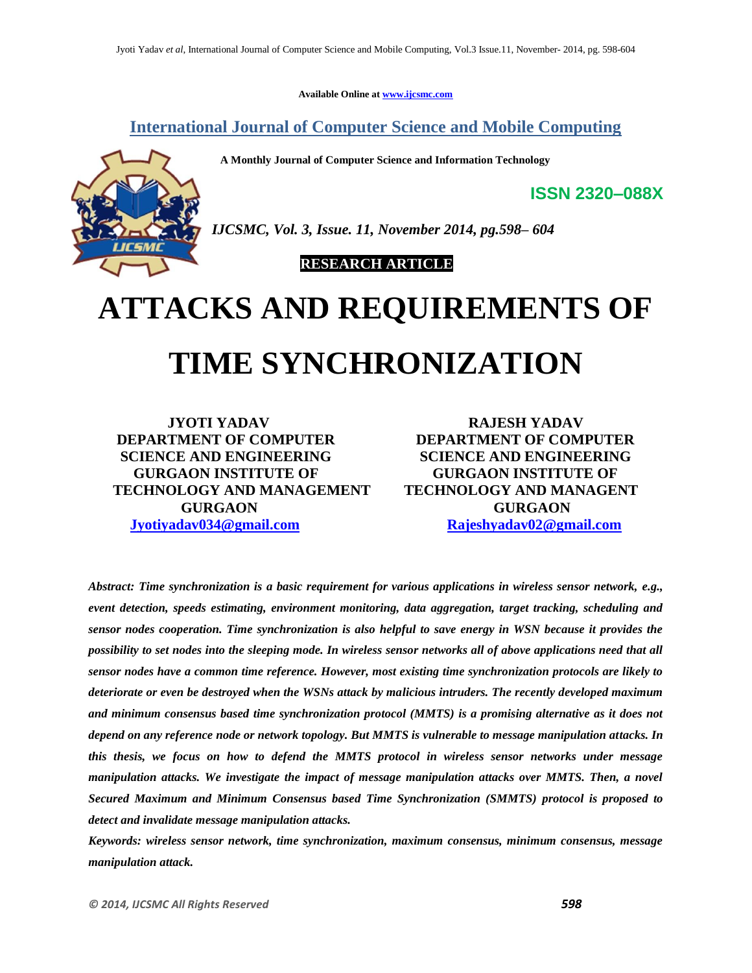**Available Online at www.ijcsmc.com**

**International Journal of Computer Science and Mobile Computing**

 **A Monthly Journal of Computer Science and Information Technology**



*IJCSMC, Vol. 3, Issue. 11, November 2014, pg.598– 604*

 **RESEARCH ARTICLE**

# **ATTACKS AND REQUIREMENTS OF TIME SYNCHRONIZATION**

**JYOTI YADAV RAJESH YADAV DEPARTMENT OF COMPUTER DEPARTMENT OF COMPUTER SCIENCE AND ENGINEERING SCIENCE AND ENGINEERING GURGAON INSTITUTE OF GURGAON INSTITUTE OF TECHNOLOGY AND MANAGEMENT TECHNOLOGY AND MANAGENT GURGAON GURGAON Jyotiyadav034@gmail.com Rajeshyadav02@gmail.com**

**ISSN 2320–088X**

*Abstract: Time synchronization is a basic requirement for various applications in wireless sensor network, e.g., event detection, speeds estimating, environment monitoring, data aggregation, target tracking, scheduling and sensor nodes cooperation. Time synchronization is also helpful to save energy in WSN because it provides the possibility to set nodes into the sleeping mode. In wireless sensor networks all of above applications need that all sensor nodes have a common time reference. However, most existing time synchronization protocols are likely to deteriorate or even be destroyed when the WSNs attack by malicious intruders. The recently developed maximum and minimum consensus based time synchronization protocol (MMTS) is a promising alternative as it does not depend on any reference node or network topology. But MMTS is vulnerable to message manipulation attacks. In this thesis, we focus on how to defend the MMTS protocol in wireless sensor networks under message manipulation attacks. We investigate the impact of message manipulation attacks over MMTS. Then, a novel Secured Maximum and Minimum Consensus based Time Synchronization (SMMTS) protocol is proposed to detect and invalidate message manipulation attacks.*

*Keywords: wireless sensor network, time synchronization, maximum consensus, minimum consensus, message manipulation attack.*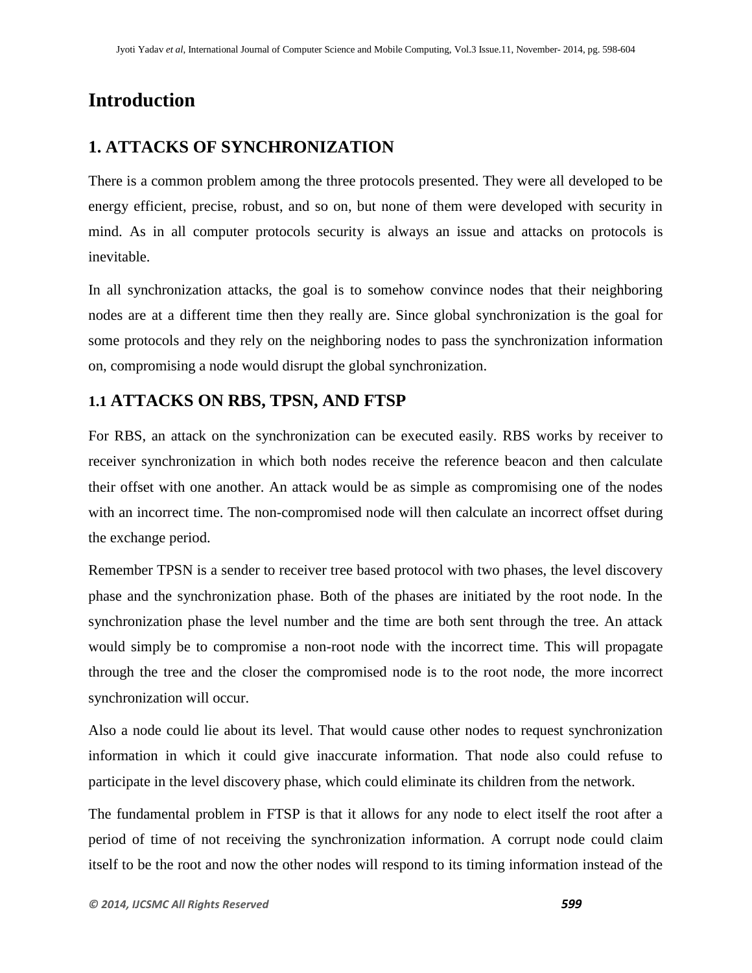## **Introduction**

## **1. ATTACKS OF SYNCHRONIZATION**

There is a common problem among the three protocols presented. They were all developed to be energy efficient, precise, robust, and so on, but none of them were developed with security in mind. As in all computer protocols security is always an issue and attacks on protocols is inevitable.

In all synchronization attacks, the goal is to somehow convince nodes that their neighboring nodes are at a different time then they really are. Since global synchronization is the goal for some protocols and they rely on the neighboring nodes to pass the synchronization information on, compromising a node would disrupt the global synchronization.

### **1.1 ATTACKS ON RBS, TPSN, AND FTSP**

For RBS, an attack on the synchronization can be executed easily. RBS works by receiver to receiver synchronization in which both nodes receive the reference beacon and then calculate their offset with one another. An attack would be as simple as compromising one of the nodes with an incorrect time. The non-compromised node will then calculate an incorrect offset during the exchange period.

Remember TPSN is a sender to receiver tree based protocol with two phases, the level discovery phase and the synchronization phase. Both of the phases are initiated by the root node. In the synchronization phase the level number and the time are both sent through the tree. An attack would simply be to compromise a non-root node with the incorrect time. This will propagate through the tree and the closer the compromised node is to the root node, the more incorrect synchronization will occur.

Also a node could lie about its level. That would cause other nodes to request synchronization information in which it could give inaccurate information. That node also could refuse to participate in the level discovery phase, which could eliminate its children from the network.

The fundamental problem in FTSP is that it allows for any node to elect itself the root after a period of time of not receiving the synchronization information. A corrupt node could claim itself to be the root and now the other nodes will respond to its timing information instead of the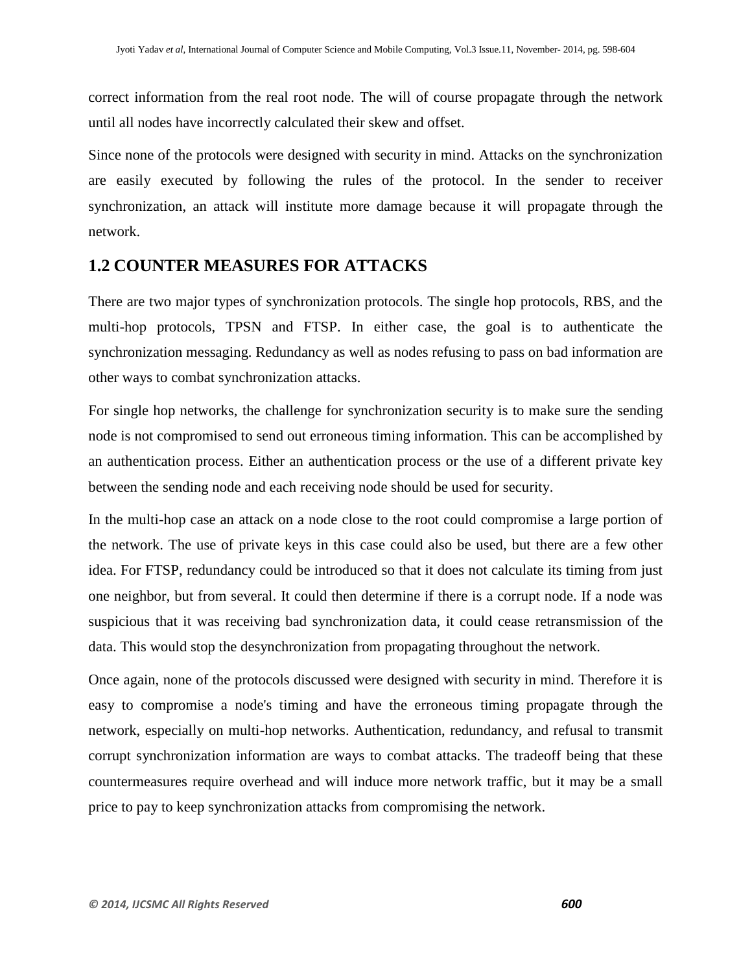correct information from the real root node. The will of course propagate through the network until all nodes have incorrectly calculated their skew and offset.

Since none of the protocols were designed with security in mind. Attacks on the synchronization are easily executed by following the rules of the protocol. In the sender to receiver synchronization, an attack will institute more damage because it will propagate through the network.

#### **1.2 COUNTER MEASURES FOR ATTACKS**

There are two major types of synchronization protocols. The single hop protocols, RBS, and the multi-hop protocols, TPSN and FTSP. In either case, the goal is to authenticate the synchronization messaging. Redundancy as well as nodes refusing to pass on bad information are other ways to combat synchronization attacks.

For single hop networks, the challenge for synchronization security is to make sure the sending node is not compromised to send out erroneous timing information. This can be accomplished by an authentication process. Either an authentication process or the use of a different private key between the sending node and each receiving node should be used for security.

In the multi-hop case an attack on a node close to the root could compromise a large portion of the network. The use of private keys in this case could also be used, but there are a few other idea. For FTSP, redundancy could be introduced so that it does not calculate its timing from just one neighbor, but from several. It could then determine if there is a corrupt node. If a node was suspicious that it was receiving bad synchronization data, it could cease retransmission of the data. This would stop the desynchronization from propagating throughout the network.

Once again, none of the protocols discussed were designed with security in mind. Therefore it is easy to compromise a node's timing and have the erroneous timing propagate through the network, especially on multi-hop networks. Authentication, redundancy, and refusal to transmit corrupt synchronization information are ways to combat attacks. The tradeoff being that these countermeasures require overhead and will induce more network traffic, but it may be a small price to pay to keep synchronization attacks from compromising the network.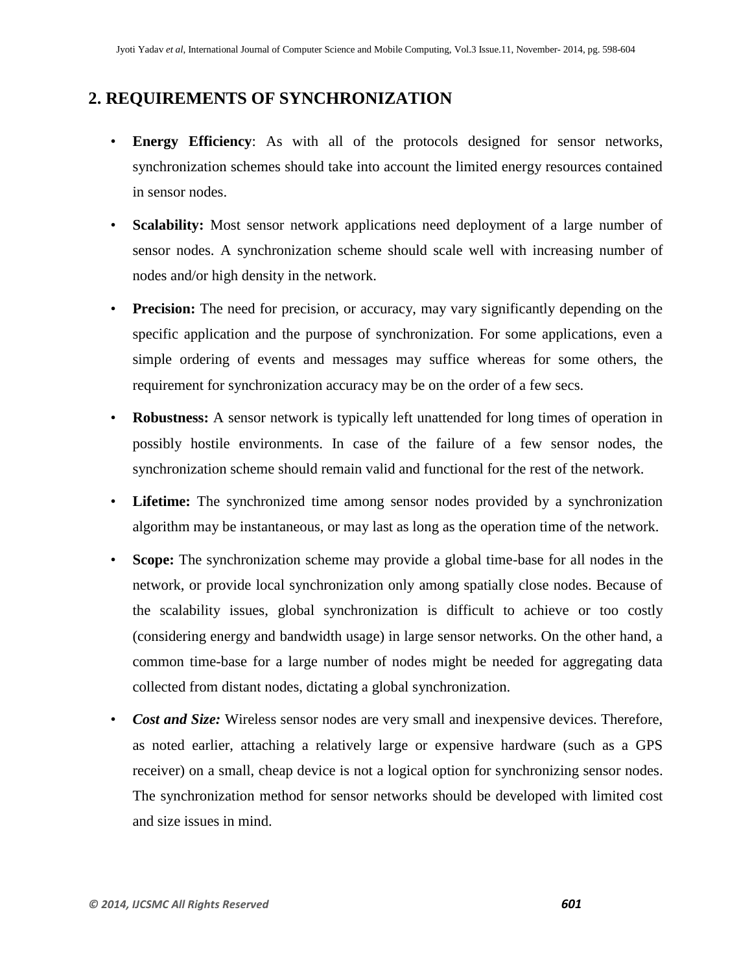#### **2. REQUIREMENTS OF SYNCHRONIZATION**

- **Energy Efficiency**: As with all of the protocols designed for sensor networks, synchronization schemes should take into account the limited energy resources contained in sensor nodes.
- **Scalability:** Most sensor network applications need deployment of a large number of sensor nodes. A synchronization scheme should scale well with increasing number of nodes and/or high density in the network.
- **Precision:** The need for precision, or accuracy, may vary significantly depending on the specific application and the purpose of synchronization. For some applications, even a simple ordering of events and messages may suffice whereas for some others, the requirement for synchronization accuracy may be on the order of a few secs.
- **Robustness:** A sensor network is typically left unattended for long times of operation in possibly hostile environments. In case of the failure of a few sensor nodes, the synchronization scheme should remain valid and functional for the rest of the network.
- **Lifetime:** The synchronized time among sensor nodes provided by a synchronization algorithm may be instantaneous, or may last as long as the operation time of the network.
- **Scope:** The synchronization scheme may provide a global time-base for all nodes in the network, or provide local synchronization only among spatially close nodes. Because of the scalability issues, global synchronization is difficult to achieve or too costly (considering energy and bandwidth usage) in large sensor networks. On the other hand, a common time-base for a large number of nodes might be needed for aggregating data collected from distant nodes, dictating a global synchronization.
- *Cost and Size:* Wireless sensor nodes are very small and inexpensive devices. Therefore, as noted earlier, attaching a relatively large or expensive hardware (such as a GPS receiver) on a small, cheap device is not a logical option for synchronizing sensor nodes. The synchronization method for sensor networks should be developed with limited cost and size issues in mind.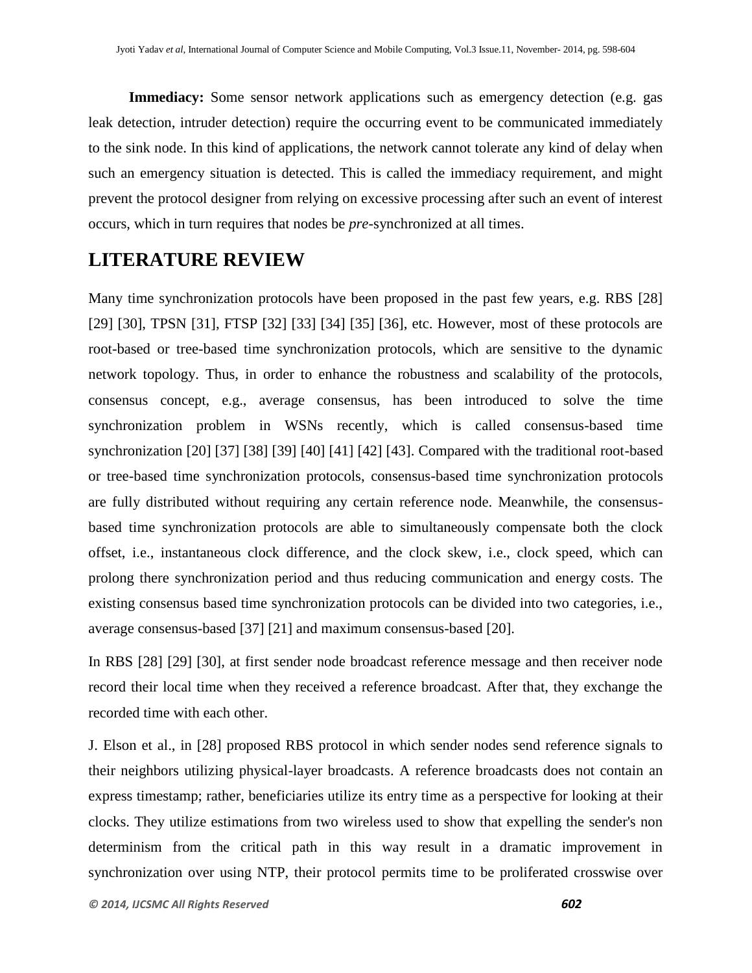**Immediacy:** Some sensor network applications such as emergency detection (e.g. gas leak detection, intruder detection) require the occurring event to be communicated immediately to the sink node. In this kind of applications, the network cannot tolerate any kind of delay when such an emergency situation is detected. This is called the immediacy requirement, and might prevent the protocol designer from relying on excessive processing after such an event of interest occurs, which in turn requires that nodes be *pre-*synchronized at all times.

## **LITERATURE REVIEW**

Many time synchronization protocols have been proposed in the past few years, e.g. RBS [28] [29] [30], TPSN [31], FTSP [32] [33] [34] [35] [36], etc. However, most of these protocols are root-based or tree-based time synchronization protocols, which are sensitive to the dynamic network topology. Thus, in order to enhance the robustness and scalability of the protocols, consensus concept, e.g., average consensus, has been introduced to solve the time synchronization problem in WSNs recently, which is called consensus-based time synchronization [20] [37] [38] [39] [40] [41] [42] [43]. Compared with the traditional root-based or tree-based time synchronization protocols, consensus-based time synchronization protocols are fully distributed without requiring any certain reference node. Meanwhile, the consensusbased time synchronization protocols are able to simultaneously compensate both the clock offset, i.e., instantaneous clock difference, and the clock skew, i.e., clock speed, which can prolong there synchronization period and thus reducing communication and energy costs. The existing consensus based time synchronization protocols can be divided into two categories, i.e., average consensus-based [37] [21] and maximum consensus-based [20].

In RBS [28] [29] [30], at first sender node broadcast reference message and then receiver node record their local time when they received a reference broadcast. After that, they exchange the recorded time with each other.

J. Elson et al., in [28] proposed RBS protocol in which sender nodes send reference signals to their neighbors utilizing physical-layer broadcasts. A reference broadcasts does not contain an express timestamp; rather, beneficiaries utilize its entry time as a perspective for looking at their clocks. They utilize estimations from two wireless used to show that expelling the sender's non determinism from the critical path in this way result in a dramatic improvement in synchronization over using NTP, their protocol permits time to be proliferated crosswise over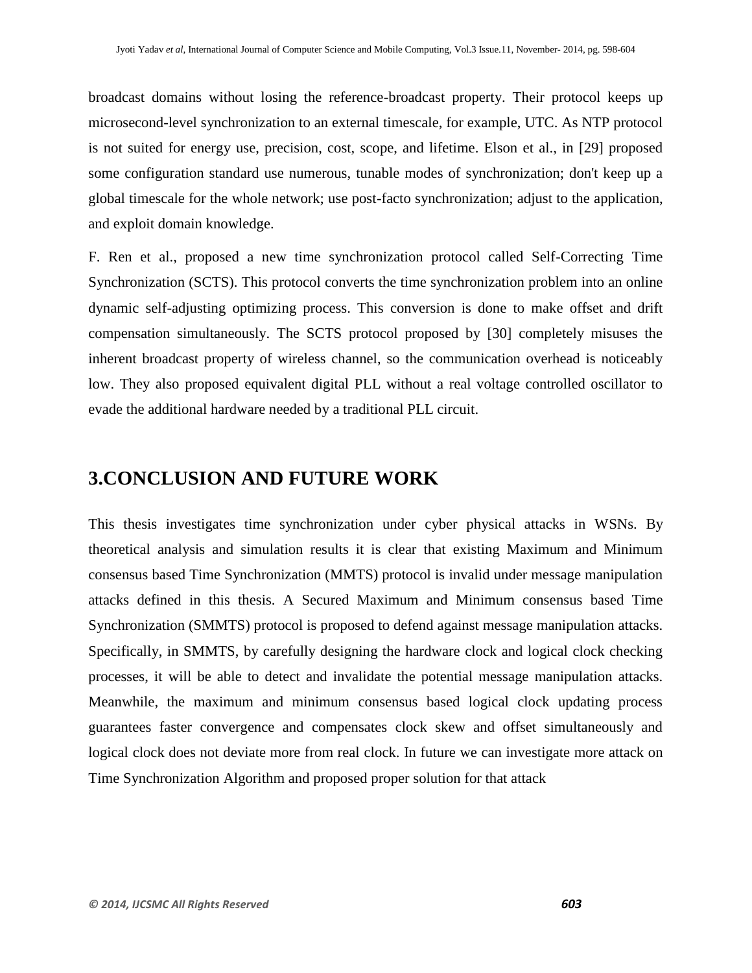broadcast domains without losing the reference-broadcast property. Their protocol keeps up microsecond-level synchronization to an external timescale, for example, UTC. As NTP protocol is not suited for energy use, precision, cost, scope, and lifetime. Elson et al., in [29] proposed some configuration standard use numerous, tunable modes of synchronization; don't keep up a global timescale for the whole network; use post-facto synchronization; adjust to the application, and exploit domain knowledge.

F. Ren et al., proposed a new time synchronization protocol called Self-Correcting Time Synchronization (SCTS). This protocol converts the time synchronization problem into an online dynamic self-adjusting optimizing process. This conversion is done to make offset and drift compensation simultaneously. The SCTS protocol proposed by [30] completely misuses the inherent broadcast property of wireless channel, so the communication overhead is noticeably low. They also proposed equivalent digital PLL without a real voltage controlled oscillator to evade the additional hardware needed by a traditional PLL circuit.

## **3.CONCLUSION AND FUTURE WORK**

This thesis investigates time synchronization under cyber physical attacks in WSNs. By theoretical analysis and simulation results it is clear that existing Maximum and Minimum consensus based Time Synchronization (MMTS) protocol is invalid under message manipulation attacks defined in this thesis. A Secured Maximum and Minimum consensus based Time Synchronization (SMMTS) protocol is proposed to defend against message manipulation attacks. Specifically, in SMMTS, by carefully designing the hardware clock and logical clock checking processes, it will be able to detect and invalidate the potential message manipulation attacks. Meanwhile, the maximum and minimum consensus based logical clock updating process guarantees faster convergence and compensates clock skew and offset simultaneously and logical clock does not deviate more from real clock. In future we can investigate more attack on Time Synchronization Algorithm and proposed proper solution for that attack